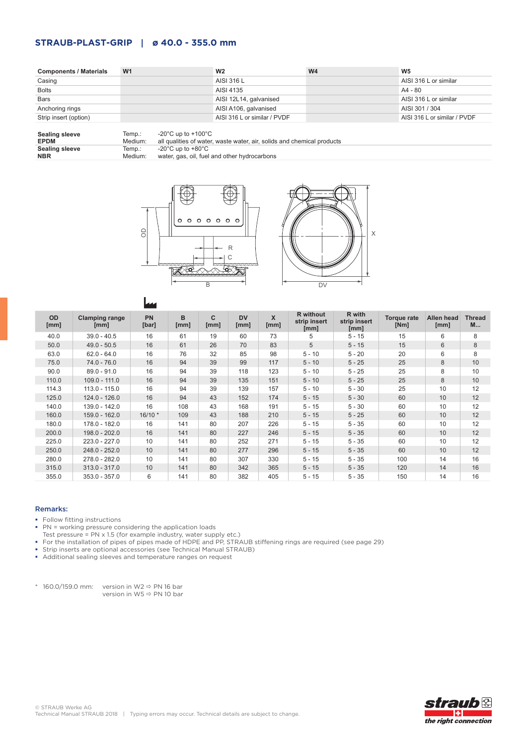# **STRAUB-PLAST-GRIP | ø 40.0 - 355.0 mm**

| <b>Components / Materials</b> | W <sub>1</sub>                                    | W <sub>2</sub>               | W <sub>4</sub> | W <sub>5</sub>               |
|-------------------------------|---------------------------------------------------|------------------------------|----------------|------------------------------|
| Casing                        |                                                   | AISI 316 L                   |                | AISI 316 L or similar        |
| <b>Bolts</b>                  |                                                   | AISI 4135                    |                | A4 - 80                      |
| <b>Bars</b>                   |                                                   | AISI 12L14, galvanised       |                | AISI 316 L or similar        |
| Anchoring rings               |                                                   | AISI A106, galvanised        |                | AISI 301 / 304               |
| Strip insert (option)         |                                                   | AISI 316 L or similar / PVDF |                | AISI 316 L or similar / PVDF |
| Sealing sleeve                | $-20^{\circ}$ C un to $+100^{\circ}$ C.<br>Temn · |                              |                |                              |

| Sealing sleeve        | Temp.:  | -20°C up to +100°C $\,$                                                |
|-----------------------|---------|------------------------------------------------------------------------|
| <b>EPDM</b>           | Medium: | all qualities of water, waste water, air, solids and chemical products |
| <b>Sealing sleeve</b> | Temp.:  | -20°C up to +80°C                                                      |
| <b>NBR</b>            | Medium: | water, gas, oil, fuel and other hydrocarbons                           |





|                   |                               | <b>The Second</b>  |           |                      |                   |           |                                          |                                |                            |                    |                           |
|-------------------|-------------------------------|--------------------|-----------|----------------------|-------------------|-----------|------------------------------------------|--------------------------------|----------------------------|--------------------|---------------------------|
| <b>OD</b><br>[mm] | <b>Clamping range</b><br>[mm] | <b>PN</b><br>[bar] | B<br>[mm] | $\mathbf{C}$<br>[mm] | <b>DV</b><br>[mm] | X<br>[mm] | <b>R</b> without<br>strip insert<br>[mm] | R with<br>strip insert<br>[mm] | <b>Torque rate</b><br>[Nm] | Allen head<br>[mm] | <b>Thread</b><br><b>M</b> |
| 40.0              | $39.0 - 40.5$                 | 16                 | 61        | 19                   | 60                | 73        | 5                                        | $5 - 15$                       | 15                         | 6                  | 8                         |
| 50.0              | $49.0 - 50.5$                 | 16                 | 61        | 26                   | 70                | 83        | 5                                        | $5 - 15$                       | 15                         | 6                  | 8                         |
| 63.0              | $62.0 - 64.0$                 | 16                 | 76        | 32                   | 85                | 98        | $5 - 10$                                 | $5 - 20$                       | 20                         | 6                  | 8                         |
| 75.0              | $74.0 - 76.0$                 | 16                 | 94        | 39                   | 99                | 117       | $5 - 10$                                 | $5 - 25$                       | 25                         | 8                  | 10                        |
| 90.0              | $89.0 - 91.0$                 | 16                 | 94        | 39                   | 118               | 123       | $5 - 10$                                 | $5 - 25$                       | 25                         | 8                  | 10                        |
| 110.0             | $109.0 - 111.0$               | 16                 | 94        | 39                   | 135               | 151       | $5 - 10$                                 | $5 - 25$                       | 25                         | 8                  | 10                        |
| 114.3             | 113.0 - 115.0                 | 16                 | 94        | 39                   | 139               | 157       | $5 - 10$                                 | $5 - 30$                       | 25                         | 10                 | 12                        |
| 125.0             | $124.0 - 126.0$               | 16                 | 94        | 43                   | 152               | 174       | $5 - 15$                                 | $5 - 30$                       | 60                         | 10                 | 12                        |
| 140.0             | 139.0 - 142.0                 | 16                 | 108       | 43                   | 168               | 191       | $5 - 15$                                 | $5 - 30$                       | 60                         | 10                 | 12                        |
| 160.0             | 159.0 - 162.0                 | $16/10*$           | 109       | 43                   | 188               | 210       | $5 - 15$                                 | $5 - 25$                       | 60                         | 10 <sup>1</sup>    | 12                        |
| 180.0             | 178.0 - 182.0                 | 16                 | 141       | 80                   | 207               | 226       | $5 - 15$                                 | $5 - 35$                       | 60                         | 10                 | 12                        |
| 200.0             | 198.0 - 202.0                 | 16                 | 141       | 80                   | 227               | 246       | $5 - 15$                                 | $5 - 35$                       | 60                         | 10 <sup>1</sup>    | 12                        |
| 225.0             | 223.0 - 227.0                 | 10                 | 141       | 80                   | 252               | 271       | $5 - 15$                                 | $5 - 35$                       | 60                         | 10                 | 12                        |
| 250.0             | 248.0 - 252.0                 | 10                 | 141       | 80                   | 277               | 296       | $5 - 15$                                 | $5 - 35$                       | 60                         | 10                 | 12                        |
| 280.0             | 278.0 - 282.0                 | 10                 | 141       | 80                   | 307               | 330       | $5 - 15$                                 | $5 - 35$                       | 100                        | 14                 | 16                        |
| 315.0             | $313.0 - 317.0$               | 10                 | 141       | 80                   | 342               | 365       | $5 - 15$                                 | $5 - 35$                       | 120                        | 14                 | 16                        |
| 355.0             | $353.0 - 357.0$               | 6                  | 141       | 80                   | 382               | 405       | $5 - 15$                                 | $5 - 35$                       | 150                        | 14                 | 16                        |

### Remarks:

- **Follow fitting instructions**
- **PN** = working pressure considering the application loads
- Test pressure = PN x 1.5 (for example industry, water supply etc.)
- For the installation of pipes of pipes made of HDPE and PP, STRAUB stiffening rings are required (see page 29)
- Strip inserts are optional accessories (see Technical Manual STRAUB)

r

• Additional sealing sleeves and temperature ranges on request

 $*$  160.0/159.0 mm: version in W2  $\Rightarrow$  PN 16 bar version in W5 PN 10 bar